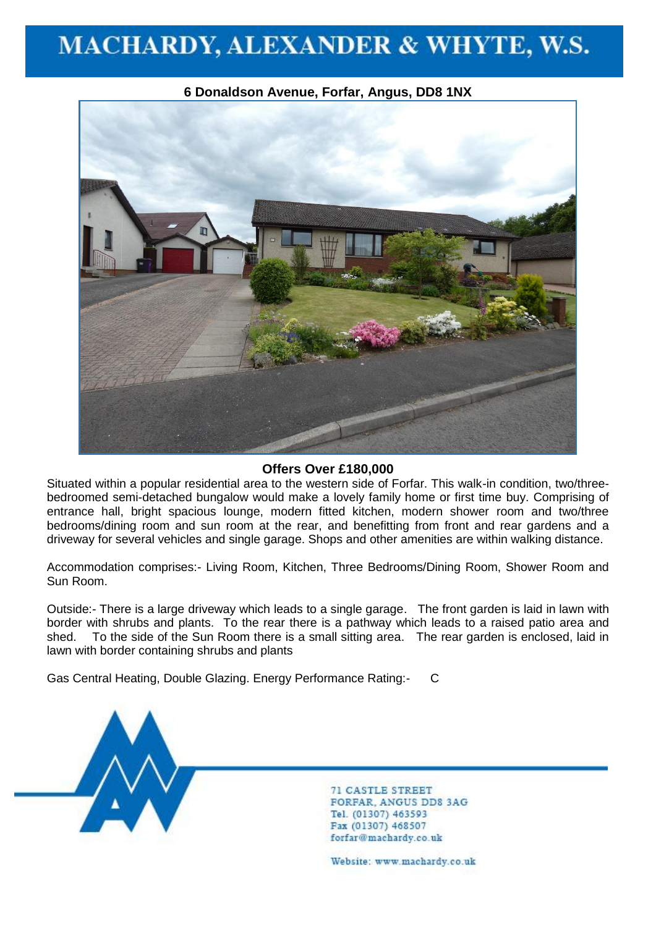

**6 Donaldson Avenue, Forfar, Angus, DD8 1NX**

### **Offers Over £180,000**

Situated within a popular residential area to the western side of Forfar. This walk-in condition, two/threebedroomed semi-detached bungalow would make a lovely family home or first time buy. Comprising of entrance hall, bright spacious lounge, modern fitted kitchen, modern shower room and two/three bedrooms/dining room and sun room at the rear, and benefitting from front and rear gardens and a driveway for several vehicles and single garage. Shops and other amenities are within walking distance.

Accommodation comprises:- Living Room, Kitchen, Three Bedrooms/Dining Room, Shower Room and Sun Room.

Outside:- There is a large driveway which leads to a single garage. The front garden is laid in lawn with border with shrubs and plants. To the rear there is a pathway which leads to a raised patio area and shed. To the side of the Sun Room there is a small sitting area. The rear garden is enclosed, laid in lawn with border containing shrubs and plants

Gas Central Heating, Double Glazing. Energy Performance Rating:- C



**71 CASTLE STREET FORFAR, ANGUS DD8 3AG** Tel. (01307) 463593 Fax (01307) 468507 forfar@machardy.co.uk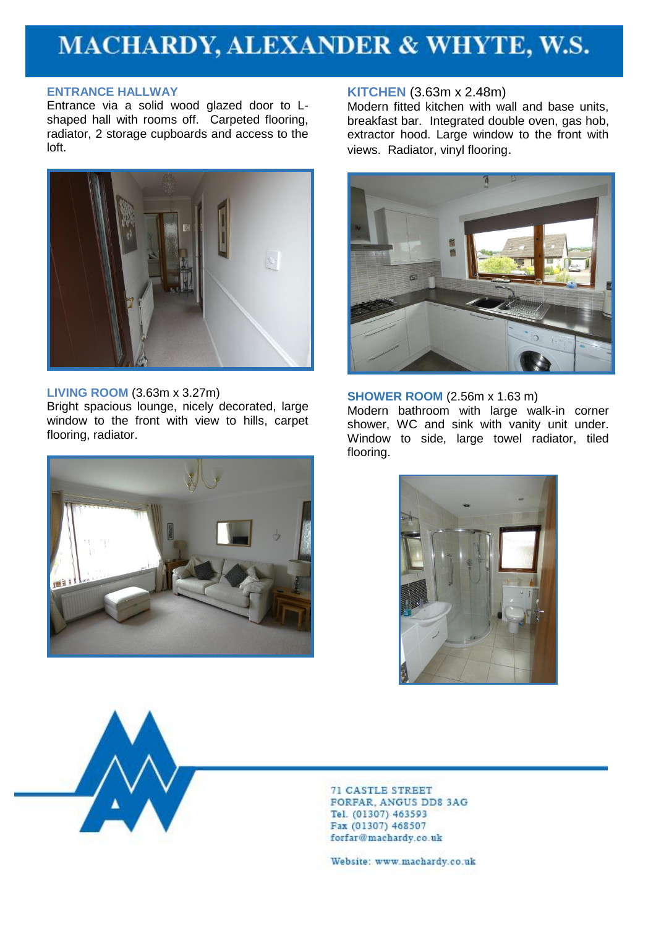### **ENTRANCE HALLWAY**

Entrance via a solid wood glazed door to Lshaped hall with rooms off. Carpeted flooring, radiator, 2 storage cupboards and access to the loft.



## **LIVING ROOM** (3.63m x 3.27m)

Bright spacious lounge, nicely decorated, large window to the front with view to hills, carpet flooring, radiator.



### **KITCHEN** (3.63m x 2.48m)

Modern fitted kitchen with wall and base units, breakfast bar. Integrated double oven, gas hob, extractor hood. Large window to the front with views. Radiator, vinyl flooring.



**SHOWER ROOM** (2.56m x 1.63 m) Modern bathroom with large walk-in corner shower, WC and sink with vanity unit under. Window to side, large towel radiator, tiled flooring.





**71 CASTLE STREET FORFAR, ANGUS DD8 3AG** Tel. (01307) 463593 Fax (01307) 468507 forfar@machardy.co.uk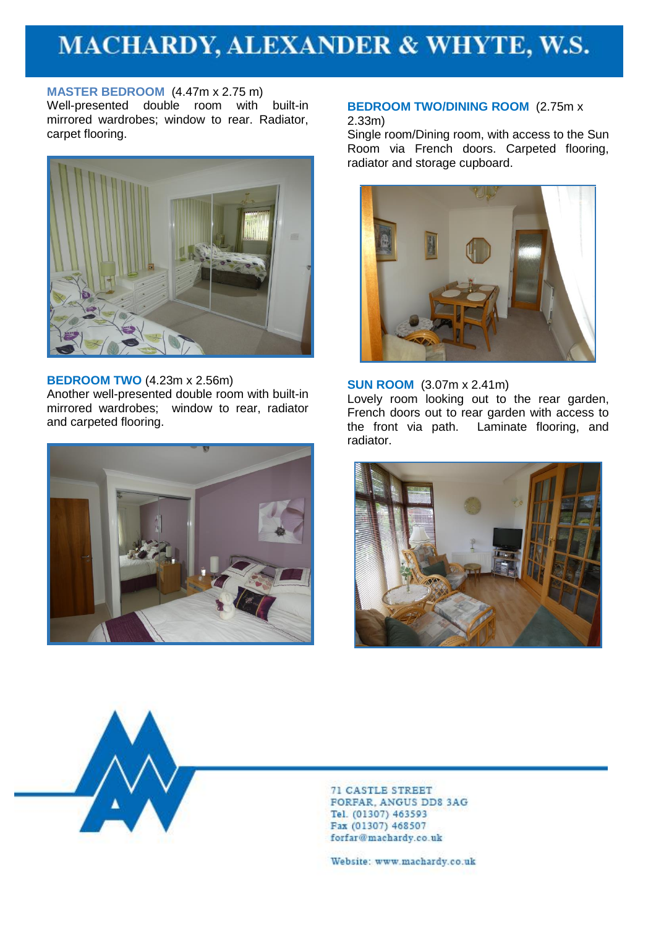**MASTER BEDROOM** (4.47m x 2.75 m) Well-presented double room with built-in mirrored wardrobes; window to rear. Radiator, carpet flooring.



#### **BEDROOM TWO** (4.23m x 2.56m) Another well-presented double room with built-in mirrored wardrobes; window to rear, radiator and carpeted flooring.



#### **BEDROOM TWO/DINING ROOM** (2.75m x 2.33m)

Single room/Dining room, with access to the Sun Room via French doors. Carpeted flooring, radiator and storage cupboard.



#### **SUN ROOM** (3.07m x 2.41m)

Lovely room looking out to the rear garden, French doors out to rear garden with access to the front via path. Laminate flooring, and radiator.





**71 CASTLE STREET FORFAR, ANGUS DD8 3AG** Tel. (01307) 463593 Fax (01307) 468507 forfar@machardy.co.uk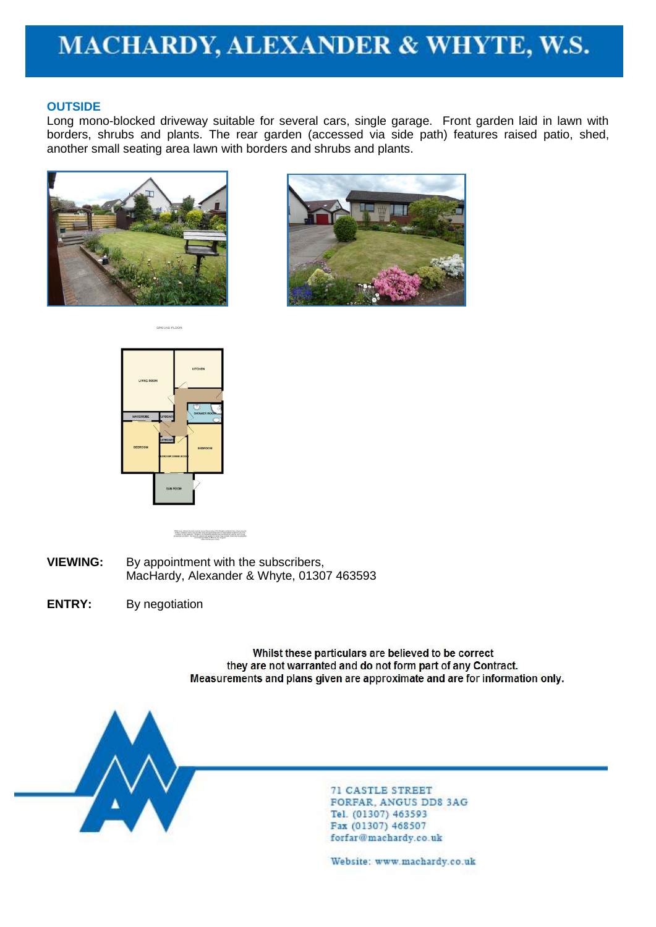## **OUTSIDE**

Long mono-blocked driveway suitable for several cars, single garage. Front garden laid in lawn with borders, shrubs and plants. The rear garden (accessed via side path) features raised patio, shed, another small seating area lawn with borders and shrubs and plants.









While away allocated backers riseds in recent the account of the Boston contents from connected and the connected product that the product state is a connected as the product of the paper. In this case is the paper of the

- **VIEWING:** By appointment with the subscribers, MacHardy, Alexander & Whyte, 01307 463593
- **ENTRY:** By negotiation

Whilst these particulars are believed to be correct they are not warranted and do not form part of any Contract. Measurements and plans given are approximate and are for information only.



**71 CASTLE STREET FORFAR, ANGUS DD8 3AG** Tel. (01307) 463593 Fax (01307) 468507 forfar@machardy.co.uk